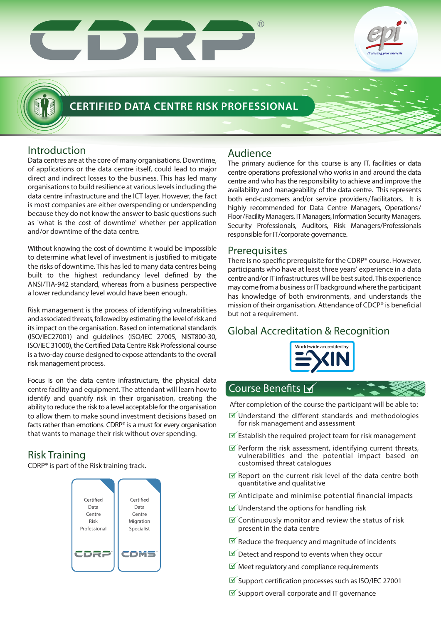# $\overline{\phantom{a}}$  $\begin{array}{|c|c|} \hline \quad \quad & \quad \end{array}$



# **CERTIFIED DATA CENTRE RISK PROFESSIONAL**

# Introduction

Data centres are at the core of many organisations. Downtime, of applications or the data centre itself, could lead to major direct and indirect losses to the business. This has led many organisations to build resilience at various levels including the data centre infrastructure and the ICT layer. However, the fact is most companies are either overspending or underspending because they do not know the answer to basic questions such as 'what is the cost of downtime' whether per application and/or downtime of the data centre.

Without knowing the cost of downtime it would be impossible to determine what level of investment is justified to mitigate the risks of downtime. This has led to many data centres being built to the highest redundancy level defined by the ANSI/TIA-942 standard, whereas from a business perspective a lower redundancy level would have been enough.

Risk management is the process of identifying vulnerabilities and associated threats, followed by estimating the level of risk and its impact on the organisation. Based on international standards (ISO/IEC27001) and guidelines (ISO/IEC 27005, NIST800-30, ISO/IEC 31000), the Certified Data Centre Risk Professional course is a two-day course designed to expose attendants to the overall risk management process.

Focus is on the data centre infrastructure, the physical data centre facility and equipment. The attendant will learn how to identify and quantify risk in their organisation, creating the ability to reduce the risk to a level acceptable for the organisation to allow them to make sound investment decisions based on facts rather than emotions. CDRP® is a must for every organisation that wants to manage their risk without over spending.

# Risk Training

CDRP® is part of the Risk training track.



# Audience

The primary audience for this course is any IT, facilities or data centre operations professional who works in and around the data centre and who has the responsibility to achieve and improve the availability and manageability of the data centre. This represents both end-customers and/or service providers/facilitators. It is highly recommended for Data Centre Managers, Operations/ Floor/Facility Managers, IT Managers, Information Security Managers, Security Professionals, Auditors, Risk Managers/Professionals responsible for IT/corporate governance.

# Prerequisites

There is no specific prerequisite for the CDRP® course. However, participants who have at least three years' experience in a data centre and/or IT infrastructures will be best suited. This experience may come from a business or IT background where the participant has knowledge of both environments, and understands the mission of their organisation. Attendance of CDCP<sup>®</sup> is beneficial but not a requirement.

# Global Accreditation & Recognition



# Course Benefits M

After completion of the course the participant will be able to:

- $\mathbb I$  Understand the different standards and methodologies for risk management and assessment
- $\mathbb Z$  Establish the required project team for risk management
- $\mathbb F$  Perform the risk assessment, identifying current threats, vulnerabilities and the potential impact based on customised threat catalogues
- $\mathbb X$  Report on the current risk level of the data centre both quantitative and qualitative
- $\mathbb X$  Anticipate and minimise potential financial impacts
- $\mathbb I$  Understand the options for handling risk
- $\mathbb X$  Continuously monitor and review the status of risk present in the data centre
- $\mathbb F$  Reduce the frequency and magnitude of incidents
- $\mathbb F$  Detect and respond to events when they occur
- $\mathbb N$  Meet regulatory and compliance requirements
- $\mathbb{F}$  Support certification processes such as ISO/IEC 27001
- $\mathbb I$  Support overall corporate and IT governance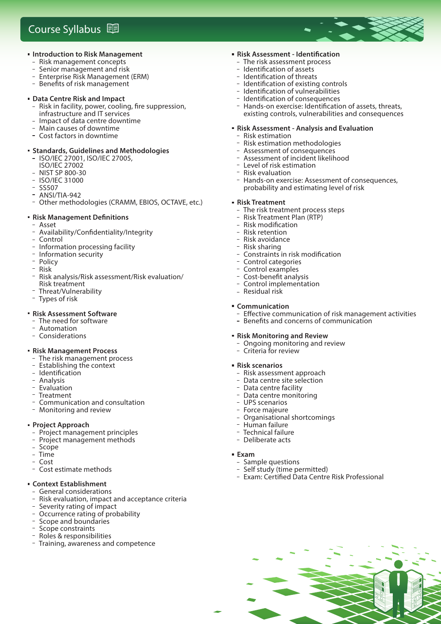# **Course Syllabus** 围



- Risk management concepts<br>- Senior management and ris
- Senior management and risk
- Enterprise Risk Management (ERM)
- Benefits of risk management

#### **Data Centre Risk and Impact**

- Risk in facility, power, cooling, fire suppression, infrastructure and IT services
- Impact of data centre downtime
- Main causes of downtime
- Cost factors in downtime

#### **Standards, Guidelines and Methodologies**

- ISO/IEC 27001, ISO/IEC 27005,
- ISO/IEC 27002
- NIST SP 800-30
- ISO/IEC 31000
- SS507
- ANSI/TIA-942<br>Cathor mothor
- Other methodologies (CRAMM, EBIOS, OCTAVE, etc.)

#### **Risk Management Definitions**

- Asset<br>- Availa
- Availability/Confidentiality/Integrity<br>- Control
- Control
- Information processing facility
- Information security
- Policy<br>– Risk
- Risk<br>– <sup>Diele</sup>
- Risk analysis/Risk assessment/Risk evaluation/ Risk treatment
- Threat/Vulnerability<br>- Types of risk
- Types of risk

#### **Risk Assessment Software**

- The need for software
- Automation
- Considerations

#### **Risk Management Process**

- The risk management process<br>- The risk management process<br>- Establishing di
- Establishing the context
- Identification
- Analysis
- $-$  Evaluation
- Treatment
- Communication and consultation
- Monitoring and review

#### **Project Approach**

- Project management principles
- Project management methods
- Scope
- Time
- Cost
- Cost estimate methods

#### **Context Establishment**

- General considerations<br>- Pick ovaluation impact
- Risk evaluation, impact and acceptance criteria
- Severity rating of impact
- Occurrence rating of probability
- Scope and boundaries
- Scope constraints
- Roles & responsibilities
- Training, awareness and competence

#### **Risk Assessment - Identification**

- The risk assessment process
- Identification of assets
- Identification of threats
- Identification of existing controls
- Identification of vulnerabilities
- Identification of consequences
- Hands-on exercise: Identification of assets, threats, existing controls, vulnerabilities and consequences

### **Risk Assessment - Analysis and Evaluation**

- Risk estimation
- Risk estimation methodologies Assessment of consequences
- Assessment of incident likelihood
- 
- Level of risk estimation<br>- Pick ovaluation Risk evaluation
- Hands-on exercise: Assessment of consequences, probability and estimating level of risk

#### **Risk Treatment**

- The risk treatment process steps
- Risk Treatment Plan (RTP)
- **Risk modification**
- Risk retention
- Risk avoidance
- Risk sharing
- Constraints in risk modification
- Control categories
- Control examples
- Cost-benefit analysis
- Control implementation
- Residual risk

#### **Communication**

- Effective communication of risk management activities
- Benefits and concerns of communication

- Exam: Certified Data Centre Risk Professional

#### **Risk Monitoring and Review**

- Ongoing monitoring and review
- Criteria for review

#### **Risk scenarios**

- Risk assessment approach
- Data centre site selection
- Data centre facility
- Data centre monitoring
- UPS scenarios
- Force majeure Organisational shortcomings - Human failure

**Exam**

 Technical failure - Deliberate acts

 Sample questions - Self study (time permitted)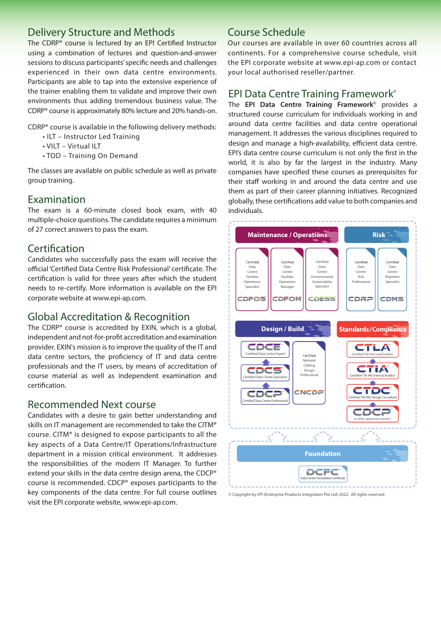# Delivery Structure and Methods

The CDRP® course is lectured by an EPI Certified Instructor using a combination of lectures and question-and-answer sessions to discuss participants' specific needs and challenges experienced in their own data centre environments. Participants are able to tap into the extensive experience of the trainer enabling them to validate and improve their own environments thus adding tremendous business value. The CDRP® course is approximately 80% lecture and 20% hands-on.

CDRP® course is available in the following delivery methods:

- ILT Instructor Led Training
- VILT Virtual ILT
- TOD Training On Demand

The classes are available on public schedule as well as private group training.

### Examination

The exam is a 60-minute closed book exam, with 40 multiple-choice questions. The candidate requires a minimum of 27 correct answers to pass the exam.

### Certification

Candidates who successfully pass the exam will receive the official 'Certified Data Centre Risk Professional' certificate. The certification is valid for three years after which the student needs to re-certify. More information is available on the EPI corporate website at www.epi-ap.com.

## Global Accreditation & Recognition

The CDRP® course is accredited by EXIN, which is a global, independent and not-for-profit accreditation and examination provider. EXIN's mission is to improve the quality of the IT and data centre sectors, the proficiency of IT and data centre professionals and the IT users, by means of accreditation of course material as well as independent examination and certification.

### Recommended Next course

Candidates with a desire to gain better understanding and skills on IT management are recommended to take the CITM® course. CITM® is designed to expose participants to all the key aspects of a Data Centre/IT Operations/Infrastructure department in a mission critical environment. It addresses the responsibilities of the modern IT Manager. To further extend your skills in the data centre design arena, the CDCP® course is recommended. CDCP® exposes participants to the key components of the data centre. For full course outlines visit the EPI corporate website, www.epi-ap.com.

# Course Schedule

Our courses are available in over 60 countries across all continents. For a comprehensive course schedule, visit the EPI corporate website at www.epi-ap.com or contact your local authorised reseller/partner.

# EPI Data Centre Training Framework**©**

The **EPI Data Centre Training Framework©** provides a structured course curriculum for individuals working in and around data centre facilities and data centre operational management. It addresses the various disciplines required to design and manage a high-availability, efficient data centre. EPI's data centre course curriculum is not only the first in the world, it is also by far the largest in the industry. Many companies have specified these courses as prerequisites for their staff working in and around the data centre and use them as part of their career planning initiatives. Recognized globally, these certifications add value to both companies and individuals.



© Copyright by EPI (Enterprise Products Integration Pte Ltd) 2022. All rights reserved.